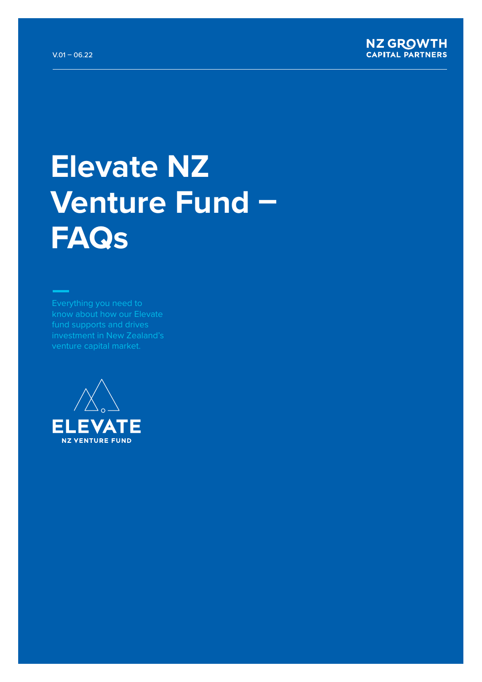

# **Elevate NZ Venture Fund – FAQs**

fund supports and drives

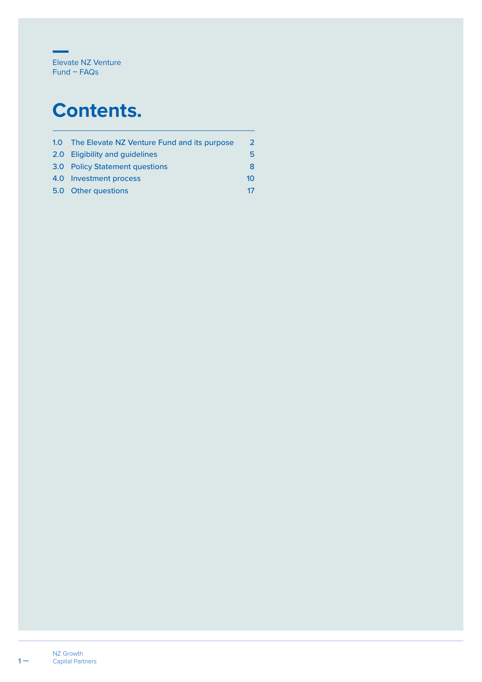

## **Contents.**

| 1.0 The Elevate NZ Venture Fund and its purpose | っ  |
|-------------------------------------------------|----|
| 2.0 Eligibility and guidelines                  | 5  |
| 3.0 Policy Statement questions                  | 8  |
| 4.0 Investment process                          | 10 |
| 5.0 Other questions                             | 17 |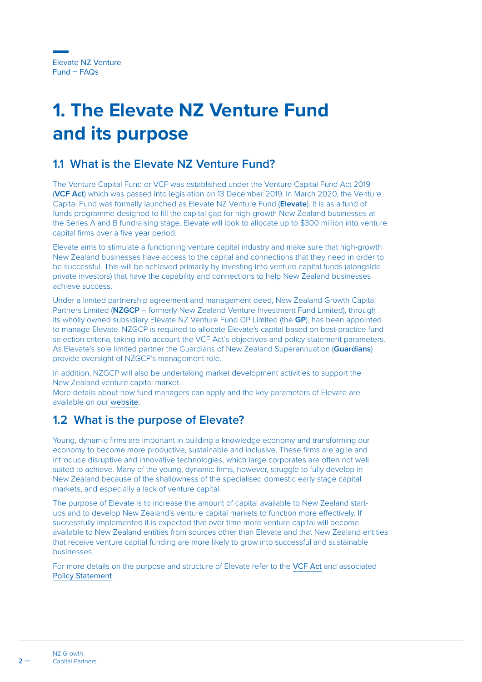## <span id="page-2-0"></span>**1. The Elevate NZ Venture Fund and its purpose**

## **1.1 What is the Elevate NZ Venture Fund?**

The Venture Capital Fund or VCF was established under the Venture Capital Fund Act 2019 (**VCF Act**) which was passed into legislation on 13 December 2019. In March 2020, the Venture Capital Fund was formally launched as Elevate NZ Venture Fund (**Elevate**). It is as a fund of funds programme designed to fill the capital gap for high-growth New Zealand businesses at the Series A and B fundraising stage. Elevate will look to allocate up to \$300 million into venture capital firms over a five year period.

Elevate aims to stimulate a functioning venture capital industry and make sure that high-growth New Zealand businesses have access to the capital and connections that they need in order to be successful. This will be achieved primarily by investing into venture capital funds (alongside private investors) that have the capability and connections to help New Zealand businesses achieve success.

Under a limited partnership agreement and management deed, New Zealand Growth Capital Partners Limited (**NZGCP** – formerly New Zealand Venture Investment Fund Limited), through its wholly owned subsidiary Elevate NZ Venture Fund GP Limited (the **GP**), has been appointed to manage Elevate. NZGCP is required to allocate Elevate's capital based on best-practice fund selection criteria, taking into account the VCF Act's objectives and policy statement parameters. As Elevate's sole limited partner the Guardians of New Zealand Superannuation (**Guardians**) provide oversight of NZGCP's management role.

In addition, NZGCP will also be undertaking market development activities to support the New Zealand venture capital market.

More details about how fund managers can apply and the key parameters of Elevate are available on our [website](https://www.nzgcp.co.nz/funding/elevate-venture-fund/).

## **1.2 What is the purpose of Elevate?**

Young, dynamic firms are important in building a knowledge economy and transforming our economy to become more productive, sustainable and inclusive. These firms are agile and introduce disruptive and innovative technologies, which large corporates are often not well suited to achieve. Many of the young, dynamic firms, however, struggle to fully develop in New Zealand because of the shallowness of the specialised domestic early stage capital markets, and especially a lack of venture capital.

The purpose of Elevate is to increase the amount of capital available to New Zealand startups and to develop New Zealand's venture capital markets to function more effectively. If successfully implemented it is expected that over time more venture capital will become available to New Zealand entities from sources other than Elevate and that New Zealand entities that receive venture capital funding are more likely to grow into successful and sustainable businesses.

For more details on the purpose and structure of Elevate refer to the [VCF Act](https://www.legislation.govt.nz/act/public/2019/0076/21.0/whole.html) and associated [Policy Statement](https://www.nzgcp.co.nz/assets/Media/VCF-Policy-Statement.pdf).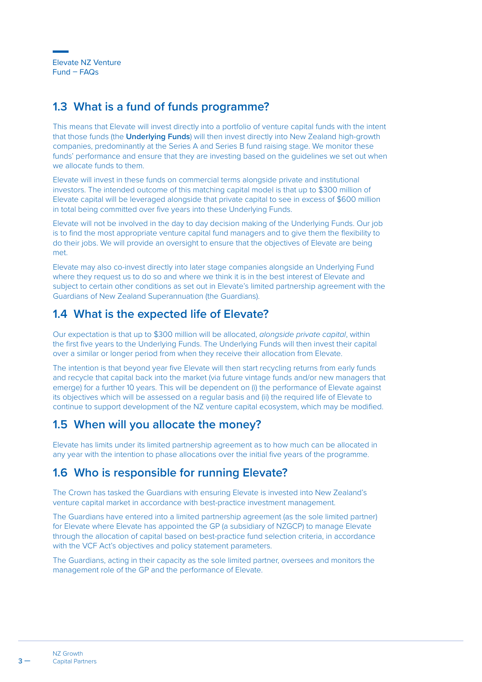#### **1.3 What is a fund of funds programme?**

This means that Elevate will invest directly into a portfolio of venture capital funds with the intent that those funds (the **Underlying Funds**) will then invest directly into New Zealand high-growth companies, predominantly at the Series A and Series B fund raising stage. We monitor these funds' performance and ensure that they are investing based on the guidelines we set out when we allocate funds to them.

Elevate will invest in these funds on commercial terms alongside private and institutional investors. The intended outcome of this matching capital model is that up to \$300 million of Elevate capital will be leveraged alongside that private capital to see in excess of \$600 million in total being committed over five years into these Underlying Funds.

Elevate will not be involved in the day to day decision making of the Underlying Funds. Our job is to find the most appropriate venture capital fund managers and to give them the flexibility to do their jobs. We will provide an oversight to ensure that the objectives of Elevate are being met.

Elevate may also co-invest directly into later stage companies alongside an Underlying Fund where they request us to do so and where we think it is in the best interest of Elevate and subject to certain other conditions as set out in Elevate's limited partnership agreement with the Guardians of New Zealand Superannuation (the Guardians).

#### **1.4 What is the expected life of Elevate?**

Our expectation is that up to \$300 million will be allocated, *alongside private capital*, within the first five years to the Underlying Funds. The Underlying Funds will then invest their capital over a similar or longer period from when they receive their allocation from Elevate.

The intention is that beyond year five Elevate will then start recycling returns from early funds and recycle that capital back into the market (via future vintage funds and/or new managers that emerge) for a further 10 years. This will be dependent on (i) the performance of Elevate against its objectives which will be assessed on a regular basis and (ii) the required life of Elevate to continue to support development of the NZ venture capital ecosystem, which may be modified.

## **1.5 When will you allocate the money?**

Elevate has limits under its limited partnership agreement as to how much can be allocated in any year with the intention to phase allocations over the initial five years of the programme.

## **1.6 Who is responsible for running Elevate?**

The Crown has tasked the Guardians with ensuring Elevate is invested into New Zealand's venture capital market in accordance with best-practice investment management.

The Guardians have entered into a limited partnership agreement (as the sole limited partner) for Elevate where Elevate has appointed the GP (a subsidiary of NZGCP) to manage Elevate through the allocation of capital based on best-practice fund selection criteria, in accordance with the VCF Act's objectives and policy statement parameters.

The Guardians, acting in their capacity as the sole limited partner, oversees and monitors the management role of the GP and the performance of Elevate.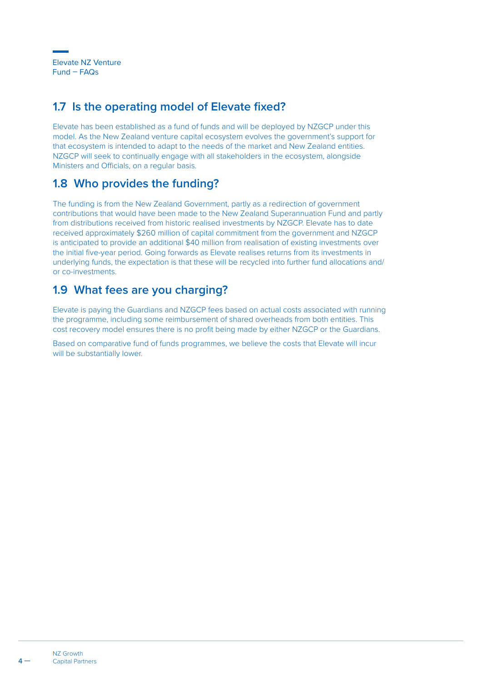## **1.7 Is the operating model of Elevate fixed?**

Elevate has been established as a fund of funds and will be deployed by NZGCP under this model. As the New Zealand venture capital ecosystem evolves the government's support for that ecosystem is intended to adapt to the needs of the market and New Zealand entities. NZGCP will seek to continually engage with all stakeholders in the ecosystem, alongside Ministers and Officials, on a regular basis.

## **1.8 Who provides the funding?**

The funding is from the New Zealand Government, partly as a redirection of government contributions that would have been made to the New Zealand Superannuation Fund and partly from distributions received from historic realised investments by NZGCP. Elevate has to date received approximately \$260 million of capital commitment from the government and NZGCP is anticipated to provide an additional \$40 million from realisation of existing investments over the initial five-year period. Going forwards as Elevate realises returns from its investments in underlying funds, the expectation is that these will be recycled into further fund allocations and/ or co-investments.

## **1.9 What fees are you charging?**

Elevate is paying the Guardians and NZGCP fees based on actual costs associated with running the programme, including some reimbursement of shared overheads from both entities. This cost recovery model ensures there is no profit being made by either NZGCP or the Guardians.

Based on comparative fund of funds programmes, we believe the costs that Elevate will incur will be substantially lower.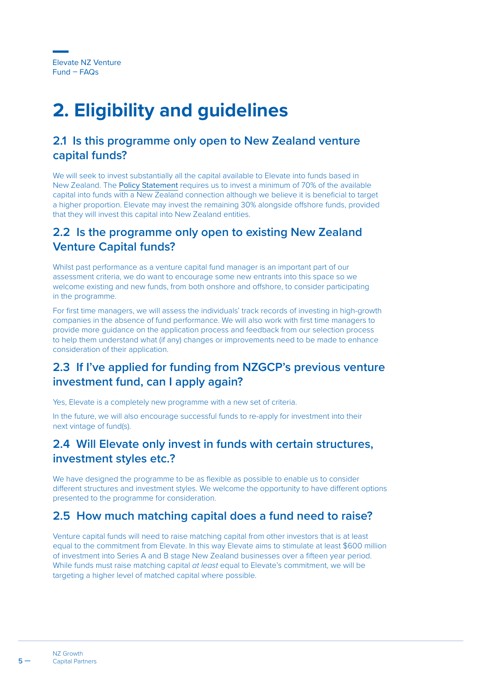## <span id="page-5-0"></span>**2. Eligibility and guidelines**

#### **2.1 Is this programme only open to New Zealand venture capital funds?**

We will seek to invest substantially all the capital available to Elevate into funds based in New Zealand. The [Policy Statement](https://www.nzgcp.co.nz/assets/Media/VCF-Policy-Statement.pdf) requires us to invest a minimum of 70% of the available capital into funds with a New Zealand connection although we believe it is beneficial to target a higher proportion. Elevate may invest the remaining 30% alongside offshore funds, provided that they will invest this capital into New Zealand entities.

#### **2.2 Is the programme only open to existing New Zealand Venture Capital funds?**

Whilst past performance as a venture capital fund manager is an important part of our assessment criteria, we do want to encourage some new entrants into this space so we welcome existing and new funds, from both onshore and offshore, to consider participating in the programme.

For first time managers, we will assess the individuals' track records of investing in high-growth companies in the absence of fund performance. We will also work with first time managers to provide more guidance on the application process and feedback from our selection process to help them understand what (if any) changes or improvements need to be made to enhance consideration of their application.

## **2.3 If I've applied for funding from NZGCP's previous venture investment fund, can I apply again?**

Yes, Elevate is a completely new programme with a new set of criteria.

In the future, we will also encourage successful funds to re-apply for investment into their next vintage of fund(s).

## **2.4 Will Elevate only invest in funds with certain structures, investment styles etc.?**

We have designed the programme to be as flexible as possible to enable us to consider different structures and investment styles. We welcome the opportunity to have different options presented to the programme for consideration.

## **2.5 How much matching capital does a fund need to raise?**

Venture capital funds will need to raise matching capital from other investors that is at least equal to the commitment from Elevate. In this way Elevate aims to stimulate at least \$600 million of investment into Series A and B stage New Zealand businesses over a fifteen year period. While funds must raise matching capital *at least* equal to Elevate's commitment, we will be targeting a higher level of matched capital where possible.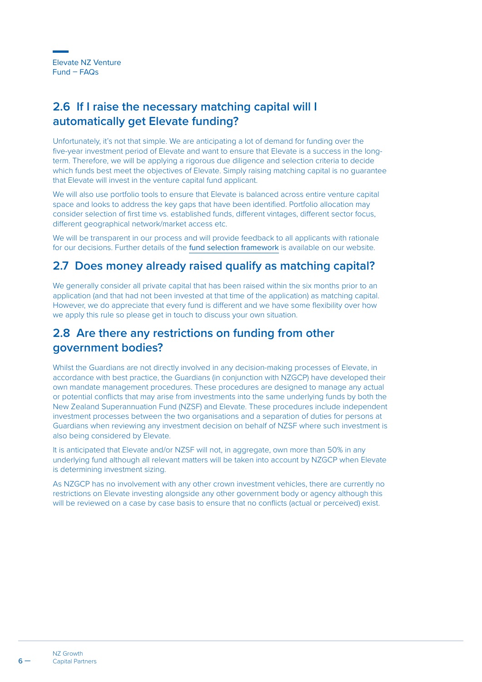## **2.6 If I raise the necessary matching capital will I automatically get Elevate funding?**

Unfortunately, it's not that simple. We are anticipating a lot of demand for funding over the five-year investment period of Elevate and want to ensure that Elevate is a success in the longterm. Therefore, we will be applying a rigorous due diligence and selection criteria to decide which funds best meet the objectives of Elevate. Simply raising matching capital is no guarantee that Elevate will invest in the venture capital fund applicant.

We will also use portfolio tools to ensure that Elevate is balanced across entire venture capital space and looks to address the key gaps that have been identified. Portfolio allocation may consider selection of first time vs. established funds, different vintages, different sector focus, different geographical network/market access etc.

We will be transparent in our process and will provide feedback to all applicants with rationale for our decisions. Further details of the [fund selection framework](https://www.nzgcp.co.nz/funding/elevate-venture-fund/) is available on our website.

#### **2.7 Does money already raised qualify as matching capital?**

We generally consider all private capital that has been raised within the six months prior to an application (and that had not been invested at that time of the application) as matching capital. However, we do appreciate that every fund is different and we have some flexibility over how we apply this rule so please get in touch to discuss your own situation.

#### **2.8 Are there any restrictions on funding from other government bodies?**

Whilst the Guardians are not directly involved in any decision-making processes of Elevate, in accordance with best practice, the Guardians (in conjunction with NZGCP) have developed their own mandate management procedures. These procedures are designed to manage any actual or potential conflicts that may arise from investments into the same underlying funds by both the New Zealand Superannuation Fund (NZSF) and Elevate. These procedures include independent investment processes between the two organisations and a separation of duties for persons at Guardians when reviewing any investment decision on behalf of NZSF where such investment is also being considered by Elevate.

It is anticipated that Elevate and/or NZSF will not, in aggregate, own more than 50% in any underlying fund although all relevant matters will be taken into account by NZGCP when Elevate is determining investment sizing.

As NZGCP has no involvement with any other crown investment vehicles, there are currently no restrictions on Elevate investing alongside any other government body or agency although this will be reviewed on a case by case basis to ensure that no conflicts (actual or perceived) exist.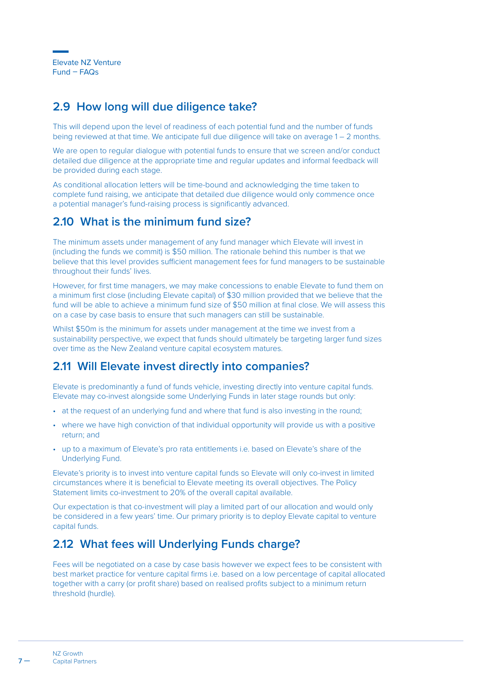#### **2.9 How long will due diligence take?**

This will depend upon the level of readiness of each potential fund and the number of funds being reviewed at that time. We anticipate full due diligence will take on average 1 – 2 months.

We are open to regular dialogue with potential funds to ensure that we screen and/or conduct detailed due diligence at the appropriate time and regular updates and informal feedback will be provided during each stage.

As conditional allocation letters will be time-bound and acknowledging the time taken to complete fund raising, we anticipate that detailed due diligence would only commence once a potential manager's fund-raising process is significantly advanced.

#### **2.10 What is the minimum fund size?**

The minimum assets under management of any fund manager which Elevate will invest in (including the funds we commit) is \$50 million. The rationale behind this number is that we believe that this level provides sufficient management fees for fund managers to be sustainable throughout their funds' lives.

However, for first time managers, we may make concessions to enable Elevate to fund them on a minimum first close (including Elevate capital) of \$30 million provided that we believe that the fund will be able to achieve a minimum fund size of \$50 million at final close. We will assess this on a case by case basis to ensure that such managers can still be sustainable.

Whilst \$50m is the minimum for assets under management at the time we invest from a sustainability perspective, we expect that funds should ultimately be targeting larger fund sizes over time as the New Zealand venture capital ecosystem matures.

#### **2.11 Will Elevate invest directly into companies?**

Elevate is predominantly a fund of funds vehicle, investing directly into venture capital funds. Elevate may co-invest alongside some Underlying Funds in later stage rounds but only:

- at the request of an underlying fund and where that fund is also investing in the round;
- where we have high conviction of that individual opportunity will provide us with a positive return; and
- up to a maximum of Elevate's pro rata entitlements i.e. based on Elevate's share of the Underlying Fund.

Elevate's priority is to invest into venture capital funds so Elevate will only co-invest in limited circumstances where it is beneficial to Elevate meeting its overall objectives. The Policy Statement limits co-investment to 20% of the overall capital available.

Our expectation is that co-investment will play a limited part of our allocation and would only be considered in a few years' time. Our primary priority is to deploy Elevate capital to venture capital funds.

#### **2.12 What fees will Underlying Funds charge?**

Fees will be negotiated on a case by case basis however we expect fees to be consistent with best market practice for venture capital firms i.e. based on a low percentage of capital allocated together with a carry (or profit share) based on realised profits subject to a minimum return threshold (hurdle).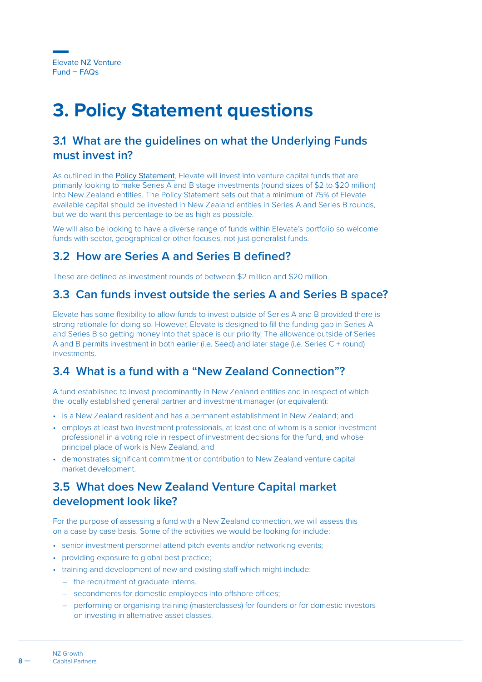## <span id="page-8-0"></span>**3. Policy Statement questions**

#### **3.1 What are the guidelines on what the Underlying Funds must invest in?**

As outlined in the [Policy Statement](https://www.nzgcp.co.nz/assets/Media/VCF-Policy-Statement.pdf), Elevate will invest into venture capital funds that are primarily looking to make Series A and B stage investments (round sizes of \$2 to \$20 million) into New Zealand entities. The Policy Statement sets out that a minimum of 75% of Elevate available capital should be invested in New Zealand entities in Series A and Series B rounds, but we do want this percentage to be as high as possible.

We will also be looking to have a diverse range of funds within Elevate's portfolio so welcome funds with sector, geographical or other focuses, not just generalist funds.

#### **3.2 How are Series A and Series B defined?**

These are defined as investment rounds of between \$2 million and \$20 million.

#### **3.3 Can funds invest outside the series A and Series B space?**

Elevate has some flexibility to allow funds to invest outside of Series A and B provided there is strong rationale for doing so. However, Elevate is designed to fill the funding gap in Series A and Series B so getting money into that space is our priority. The allowance outside of Series A and B permits investment in both earlier (i.e. Seed) and later stage (i.e. Series C + round) **investments** 

## **3.4 What is a fund with a "New Zealand Connection"?**

A fund established to invest predominantly in New Zealand entities and in respect of which the locally established general partner and investment manager (or equivalent):

- is a New Zealand resident and has a permanent establishment in New Zealand; and
- employs at least two investment professionals, at least one of whom is a senior investment professional in a voting role in respect of investment decisions for the fund, and whose principal place of work is New Zealand, and
- demonstrates significant commitment or contribution to New Zealand venture capital market development.

## **3.5 What does New Zealand Venture Capital market development look like?**

For the purpose of assessing a fund with a New Zealand connection, we will assess this on a case by case basis. Some of the activities we would be looking for include:

- senior investment personnel attend pitch events and/or networking events;
- providing exposure to global best practice;
- training and development of new and existing staff which might include:
	- the recruitment of graduate interns.
	- secondments for domestic employees into offshore offices;
	- performing or organising training (masterclasses) for founders or for domestic investors on investing in alternative asset classes.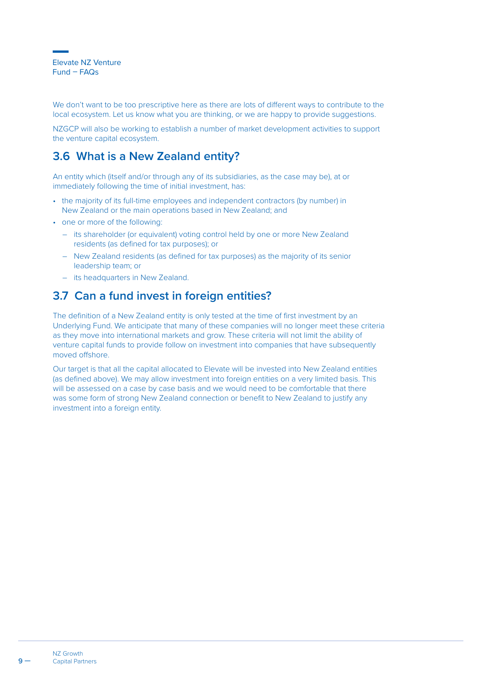We don't want to be too prescriptive here as there are lots of different ways to contribute to the local ecosystem. Let us know what you are thinking, or we are happy to provide suggestions.

NZGCP will also be working to establish a number of market development activities to support the venture capital ecosystem.

## **3.6 What is a New Zealand entity?**

An entity which (itself and/or through any of its subsidiaries, as the case may be), at or immediately following the time of initial investment, has:

- the majority of its full-time employees and independent contractors (by number) in New Zealand or the main operations based in New Zealand; and
- one or more of the following:
	- its shareholder (or equivalent) voting control held by one or more New Zealand residents (as defined for tax purposes); or
	- New Zealand residents (as defined for tax purposes) as the majority of its senior leadership team; or
	- its headquarters in New Zealand.

## **3.7 Can a fund invest in foreign entities?**

The definition of a New Zealand entity is only tested at the time of first investment by an Underlying Fund. We anticipate that many of these companies will no longer meet these criteria as they move into international markets and grow. These criteria will not limit the ability of venture capital funds to provide follow on investment into companies that have subsequently moved offshore.

Our target is that all the capital allocated to Elevate will be invested into New Zealand entities (as defined above). We may allow investment into foreign entities on a very limited basis. This will be assessed on a case by case basis and we would need to be comfortable that there was some form of strong New Zealand connection or benefit to New Zealand to justify any investment into a foreign entity.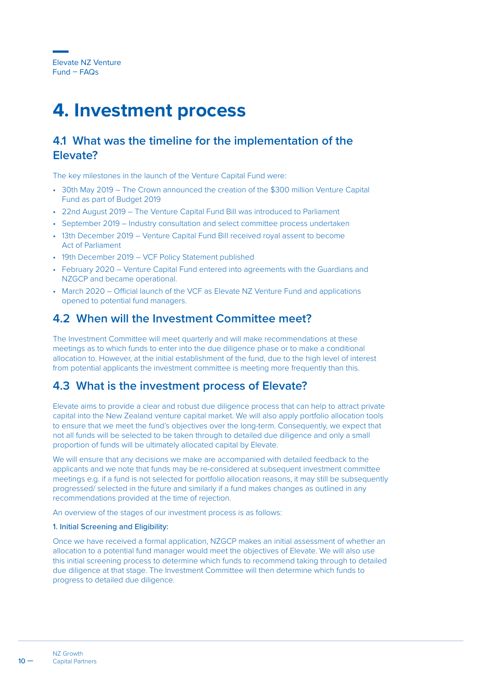## <span id="page-10-0"></span>**4. Investment process**

#### **4.1 What was the timeline for the implementation of the Elevate?**

The key milestones in the launch of the Venture Capital Fund were:

- 30th May 2019 The Crown announced the creation of the \$300 million Venture Capital Fund as part of Budget 2019
- 22nd August 2019 The Venture Capital Fund Bill was introduced to Parliament
- September 2019 Industry consultation and select committee process undertaken
- 13th December 2019 Venture Capital Fund Bill received royal assent to become Act of Parliament
- 19th December 2019 VCF Policy Statement published
- February 2020 Venture Capital Fund entered into agreements with the Guardians and NZGCP and became operational.
- March 2020 Official launch of the VCF as Elevate NZ Venture Fund and applications opened to potential fund managers.

#### **4.2 When will the Investment Committee meet?**

The Investment Committee will meet quarterly and will make recommendations at these meetings as to which funds to enter into the due diligence phase or to make a conditional allocation to. However, at the initial establishment of the fund, due to the high level of interest from potential applicants the investment committee is meeting more frequently than this.

#### **4.3 What is the investment process of Elevate?**

Elevate aims to provide a clear and robust due diligence process that can help to attract private capital into the New Zealand venture capital market. We will also apply portfolio allocation tools to ensure that we meet the fund's objectives over the long-term. Consequently, we expect that not all funds will be selected to be taken through to detailed due diligence and only a small proportion of funds will be ultimately allocated capital by Elevate.

We will ensure that any decisions we make are accompanied with detailed feedback to the applicants and we note that funds may be re-considered at subsequent investment committee meetings e.g. if a fund is not selected for portfolio allocation reasons, it may still be subsequently progressed/ selected in the future and similarly if a fund makes changes as outlined in any recommendations provided at the time of rejection.

An overview of the stages of our investment process is as follows:

#### 1. Initial Screening and Eligibility:

Once we have received a formal application, NZGCP makes an initial assessment of whether an allocation to a potential fund manager would meet the objectives of Elevate. We will also use this initial screening process to determine which funds to recommend taking through to detailed due diligence at that stage. The Investment Committee will then determine which funds to progress to detailed due diligence.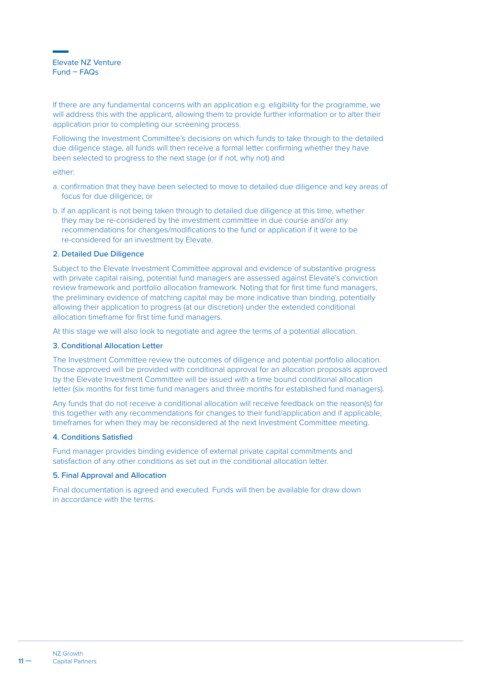Elevate NZ Venture Fund – FAQs

If there are any fundamental concerns with an application e.g. eligibility for the programme, we will address this with the applicant, allowing them to provide further information or to alter their application prior to completing our screening process.

Following the Investment Committee's decisions on which funds to take through to the detailed due diligence stage, all funds will then receive a formal letter confirming whether they have been selected to progress to the next stage (or if not, why not) and

#### either:

- a. confirmation that they have been selected to move to detailed due diligence and key areas of focus for due diligence; or
- b. if an applicant is not being taken through to detailed due diligence at this time, whether they may be re-considered by the investment committee in due course and/or any recommendations for changes/modifications to the fund or application if it were to be re-considered for an investment by Elevate.

#### 2. Detailed Due Diligence

Subject to the Elevate Investment Committee approval and evidence of substantive progress with private capital raising, potential fund managers are assessed against Elevate's conviction review framework and portfolio allocation framework. Noting that for first time fund managers, the preliminary evidence of matching capital may be more indicative than binding, potentially allowing their application to progress (at our discretion) under the extended conditional allocation timeframe for first time fund managers.

At this stage we will also look to negotiate and agree the terms of a potential allocation.

#### 3. Conditional Allocation Letter

The Investment Committee review the outcomes of diligence and potential portfolio allocation. Those approved will be provided with conditional approval for an allocation proposals approved by the Elevate Investment Committee will be issued with a time bound conditional allocation letter (six months for first time fund managers and three months for established fund managers).

Any funds that do not receive a conditional allocation will receive feedback on the reason(s) for this together with any recommendations for changes to their fund/application and if applicable, timeframes for when they may be reconsidered at the next Investment Committee meeting.

#### 4. Conditions Satisfied

Fund manager provides binding evidence of external private capital commitments and satisfaction of any other conditions as set out in the conditional allocation letter.

#### 5. Final Approval and Allocation

Final documentation is agreed and executed. Funds will then be available for draw down in accordance with the terms.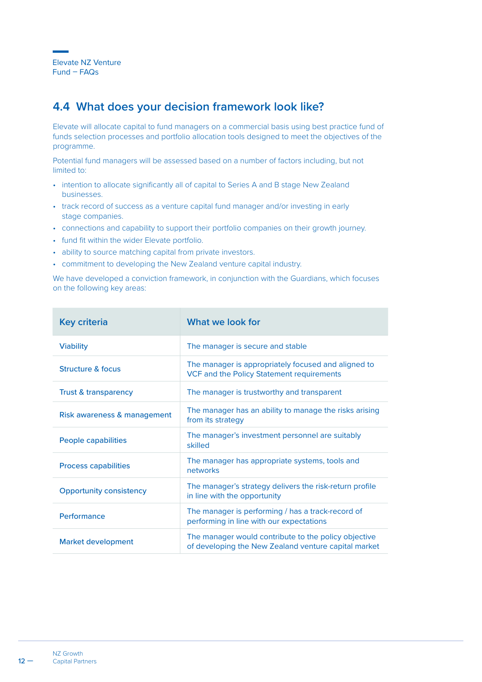#### **4.4 What does your decision framework look like?**

Elevate will allocate capital to fund managers on a commercial basis using best practice fund of funds selection processes and portfolio allocation tools designed to meet the objectives of the programme.

Potential fund managers will be assessed based on a number of factors including, but not limited to:

- intention to allocate significantly all of capital to Series A and B stage New Zealand businesses.
- track record of success as a venture capital fund manager and/or investing in early stage companies.
- connections and capability to support their portfolio companies on their growth journey.
- fund fit within the wider Elevate portfolio.
- ability to source matching capital from private investors.
- commitment to developing the New Zealand venture capital industry.

We have developed a conviction framework, in conjunction with the Guardians, which focuses on the following key areas:

| <b>Key criteria</b>             | What we look for                                                                                             |
|---------------------------------|--------------------------------------------------------------------------------------------------------------|
| <b>Viability</b>                | The manager is secure and stable                                                                             |
| Structure & focus               | The manager is appropriately focused and aligned to<br>VCF and the Policy Statement requirements             |
| <b>Trust &amp; transparency</b> | The manager is trustworthy and transparent                                                                   |
| Risk awareness & management     | The manager has an ability to manage the risks arising<br>from its strategy                                  |
| People capabilities             | The manager's investment personnel are suitably<br>skilled                                                   |
| <b>Process capabilities</b>     | The manager has appropriate systems, tools and<br>networks                                                   |
| <b>Opportunity consistency</b>  | The manager's strategy delivers the risk-return profile<br>in line with the opportunity                      |
| Performance                     | The manager is performing / has a track-record of<br>performing in line with our expectations                |
| Market development              | The manager would contribute to the policy objective<br>of developing the New Zealand venture capital market |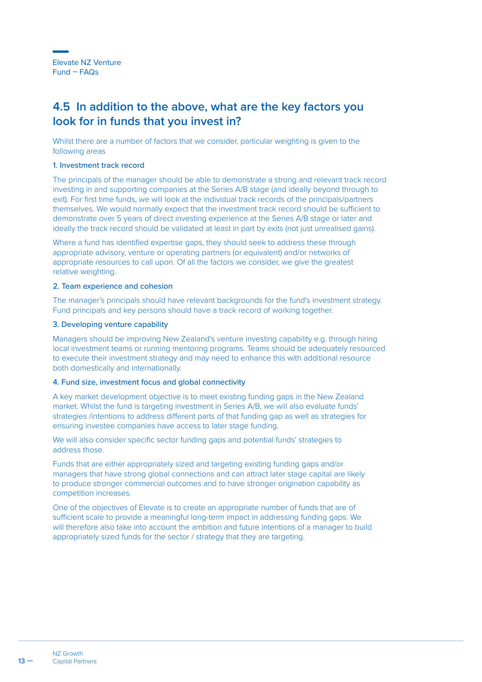## **4.5 In addition to the above, what are the key factors you look for in funds that you invest in?**

Whilst there are a number of factors that we consider, particular weighting is given to the following areas

#### 1. Investment track record

The principals of the manager should be able to demonstrate a strong and relevant track record investing in and supporting companies at the Series A/B stage (and ideally beyond through to exit). For first time funds, we will look at the individual track records of the principals/partners themselves. We would normally expect that the investment track record should be sufficient to demonstrate over 5 years of direct investing experience at the Series A/B stage or later and ideally the track record should be validated at least in part by exits (not just unrealised gains).

Where a fund has identified expertise gaps, they should seek to address these through appropriate advisory, venture or operating partners (or equivalent) and/or networks of appropriate resources to call upon. Of all the factors we consider, we give the greatest relative weighting.

#### 2. Team experience and cohesion

The manager's principals should have relevant backgrounds for the fund's investment strategy. Fund principals and key persons should have a track record of working together.

#### 3. Developing venture capability

Managers should be improving New Zealand's venture investing capability e.g. through hiring local investment teams or running mentoring programs. Teams should be adequately resourced to execute their investment strategy and may need to enhance this with additional resource both domestically and internationally.

#### 4. Fund size, investment focus and global connectivity

A key market development objective is to meet existing funding gaps in the New Zealand market. Whilst the fund is targeting investment in Series A/B, we will also evaluate funds' strategies /intentions to address different parts of that funding gap as well as strategies for ensuring investee companies have access to later stage funding.

We will also consider specific sector funding gaps and potential funds' strategies to address those.

Funds that are either appropriately sized and targeting existing funding gaps and/or managers that have strong global connections and can attract later stage capital are likely to produce stronger commercial outcomes and to have stronger origination capability as competition increases.

One of the objectives of Elevate is to create an appropriate number of funds that are of sufficient scale to provide a meaningful long-term impact in addressing funding gaps. We will therefore also take into account the ambition and future intentions of a manager to build appropriately sized funds for the sector / strategy that they are targeting.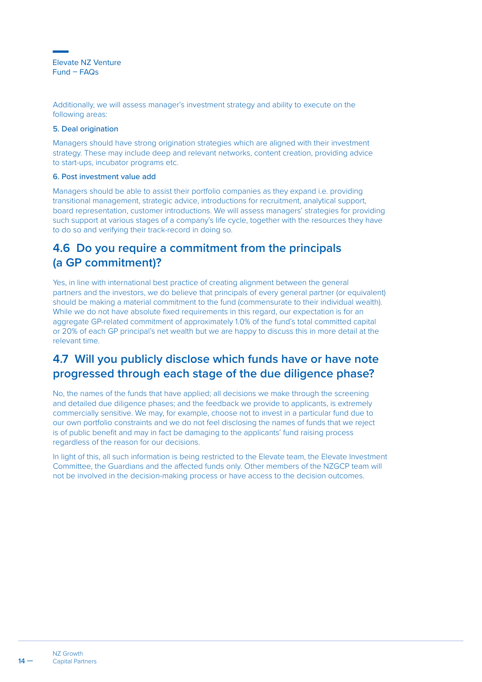Elevate NZ Venture Fund – FAQs

Additionally, we will assess manager's investment strategy and ability to execute on the following areas:

#### 5. Deal origination

Managers should have strong origination strategies which are aligned with their investment strategy. These may include deep and relevant networks, content creation, providing advice to start-ups, incubator programs etc.

#### 6. Post investment value add

Managers should be able to assist their portfolio companies as they expand i.e. providing transitional management, strategic advice, introductions for recruitment, analytical support, board representation, customer introductions. We will assess managers' strategies for providing such support at various stages of a company's life cycle, together with the resources they have to do so and verifying their track-record in doing so.

## **4.6 Do you require a commitment from the principals (a GP commitment)?**

Yes, in line with international best practice of creating alignment between the general partners and the investors, we do believe that principals of every general partner (or equivalent) should be making a material commitment to the fund (commensurate to their individual wealth). While we do not have absolute fixed requirements in this regard, our expectation is for an aggregate GP-related commitment of approximately 1.0% of the fund's total committed capital or 20% of each GP principal's net wealth but we are happy to discuss this in more detail at the relevant time.

#### **4.7 Will you publicly disclose which funds have or have note progressed through each stage of the due diligence phase?**

No, the names of the funds that have applied; all decisions we make through the screening and detailed due diligence phases; and the feedback we provide to applicants, is extremely commercially sensitive. We may, for example, choose not to invest in a particular fund due to our own portfolio constraints and we do not feel disclosing the names of funds that we reject is of public benefit and may in fact be damaging to the applicants' fund raising process regardless of the reason for our decisions.

In light of this, all such information is being restricted to the Elevate team, the Elevate Investment Committee, the Guardians and the affected funds only. Other members of the NZGCP team will not be involved in the decision-making process or have access to the decision outcomes.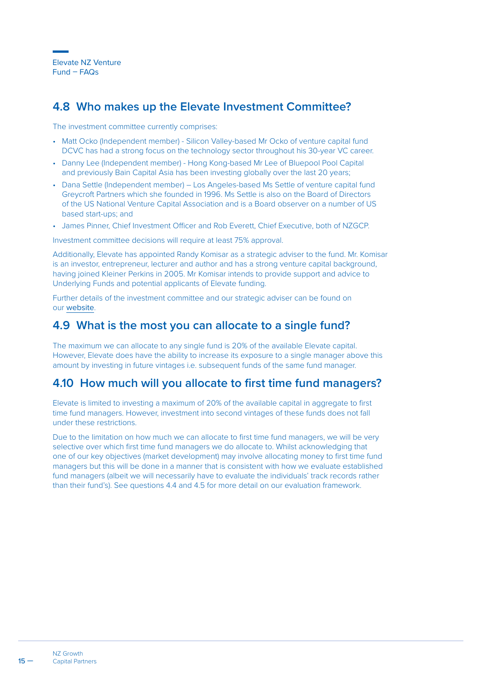Elevate NZ Venture Fund – FAQs

#### **4.8 Who makes up the Elevate Investment Committee?**

The investment committee currently comprises:

- Matt Ocko (Independent member) Silicon Valley-based Mr Ocko of venture capital fund DCVC has had a strong focus on the technology sector throughout his 30-year VC career.
- Danny Lee (Independent member) Hong Kong-based Mr Lee of Bluepool Pool Capital and previously Bain Capital Asia has been investing globally over the last 20 years;
- Dana Settle (Independent member) Los Angeles-based Ms Settle of venture capital fund Greycroft Partners which she founded in 1996. Ms Settle is also on the Board of Directors of the US National Venture Capital Association and is a Board observer on a number of US based start-ups; and
- James Pinner, Chief Investment Officer and Rob Everett, Chief Executive, both of NZGCP.

Investment committee decisions will require at least 75% approval.

Additionally, Elevate has appointed Randy Komisar as a strategic adviser to the fund. Mr. Komisar is an investor, entrepreneur, lecturer and author and has a strong venture capital background having joined Kleiner Perkins in 2005. Mr Komisar intends to provide support and advice to Underlying Funds and potential applicants of Elevate funding.

Further details of the investment committee and our strategic adviser can be found on our [website](https://www.nzgcp.co.nz/funding/elevate-venture-fund/).

#### **4.9 What is the most you can allocate to a single fund?**

The maximum we can allocate to any single fund is 20% of the available Elevate capital. However, Elevate does have the ability to increase its exposure to a single manager above this amount by investing in future vintages i.e. subsequent funds of the same fund manager.

#### **4.10 How much will you allocate to first time fund managers?**

Elevate is limited to investing a maximum of 20% of the available capital in aggregate to first time fund managers. However, investment into second vintages of these funds does not fall under these restrictions.

Due to the limitation on how much we can allocate to first time fund managers, we will be very selective over which first time fund managers we do allocate to. Whilst acknowledging that one of our key objectives (market development) may involve allocating money to first time fund managers but this will be done in a manner that is consistent with how we evaluate established fund managers (albeit we will necessarily have to evaluate the individuals' track records rather than their fund's). See questions 4.4 and 4.5 for more detail on our evaluation framework.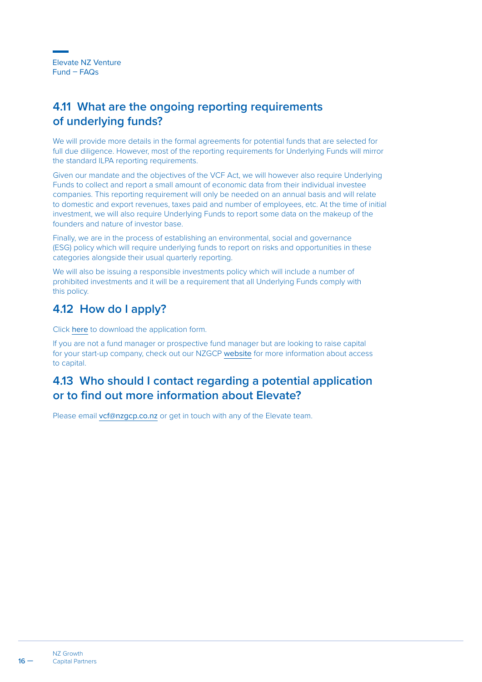## **4.11 What are the ongoing reporting requirements of underlying funds?**

We will provide more details in the formal agreements for potential funds that are selected for full due diligence. However, most of the reporting requirements for Underlying Funds will mirror the standard ILPA reporting requirements.

Given our mandate and the objectives of the VCF Act, we will however also require Underlying Funds to collect and report a small amount of economic data from their individual investee companies. This reporting requirement will only be needed on an annual basis and will relate to domestic and export revenues, taxes paid and number of employees, etc. At the time of initial investment, we will also require Underlying Funds to report some data on the makeup of the founders and nature of investor base.

Finally, we are in the process of establishing an environmental, social and governance (ESG) policy which will require underlying funds to report on risks and opportunities in these categories alongside their usual quarterly reporting.

We will also be issuing a responsible investments policy which will include a number of prohibited investments and it will be a requirement that all Underlying Funds comply with this policy.

## **4.12 How do I apply?**

Click [here](https://www.nzgcp.co.nz/assets/Media/VENTURE-CAPITAL-FUND-APPLICATION-FORM3.docx) to download the application form.

If you are not a fund manager or prospective fund manager but are looking to raise capital for your start-up company, check out our NZGCP [website](https://www.nzgcp.co.nz/) for more information about access to capital.

#### **4.13 Who should I contact regarding a potential application or to find out more information about Elevate?**

Please email vc[f@nzgcp.co.nz](mailto:vcf%40nzgcp.co.nz?subject=) or get in touch with any of the Elevate team.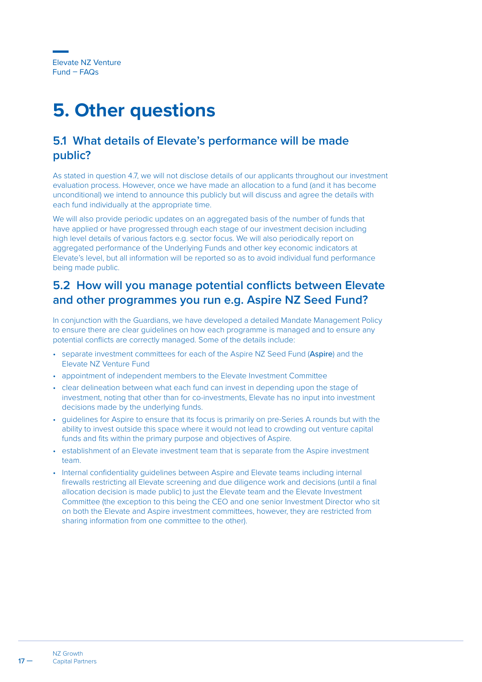## <span id="page-17-0"></span>**5. Other questions**

#### **5.1 What details of Elevate's performance will be made public?**

As stated in question 4.7, we will not disclose details of our applicants throughout our investment evaluation process. However, once we have made an allocation to a fund (and it has become unconditional) we intend to announce this publicly but will discuss and agree the details with each fund individually at the appropriate time.

We will also provide periodic updates on an aggregated basis of the number of funds that have applied or have progressed through each stage of our investment decision including high level details of various factors e.g. sector focus. We will also periodically report on aggregated performance of the Underlying Funds and other key economic indicators at Elevate's level, but all information will be reported so as to avoid individual fund performance being made public.

#### **5.2 How will you manage potential conflicts between Elevate and other programmes you run e.g. Aspire NZ Seed Fund?**

In conjunction with the Guardians, we have developed a detailed Mandate Management Policy to ensure there are clear guidelines on how each programme is managed and to ensure any potential conflicts are correctly managed. Some of the details include:

- separate investment committees for each of the Aspire NZ Seed Fund (Aspire) and the Elevate NZ Venture Fund
- appointment of independent members to the Elevate Investment Committee
- clear delineation between what each fund can invest in depending upon the stage of investment, noting that other than for co-investments, Elevate has no input into investment decisions made by the underlying funds.
- guidelines for Aspire to ensure that its focus is primarily on pre-Series A rounds but with the ability to invest outside this space where it would not lead to crowding out venture capital funds and fits within the primary purpose and objectives of Aspire.
- establishment of an Elevate investment team that is separate from the Aspire investment team.
- Internal confidentiality guidelines between Aspire and Elevate teams including internal firewalls restricting all Elevate screening and due diligence work and decisions (until a final allocation decision is made public) to just the Elevate team and the Elevate Investment Committee (the exception to this being the CEO and one senior Investment Director who sit on both the Elevate and Aspire investment committees, however, they are restricted from sharing information from one committee to the other).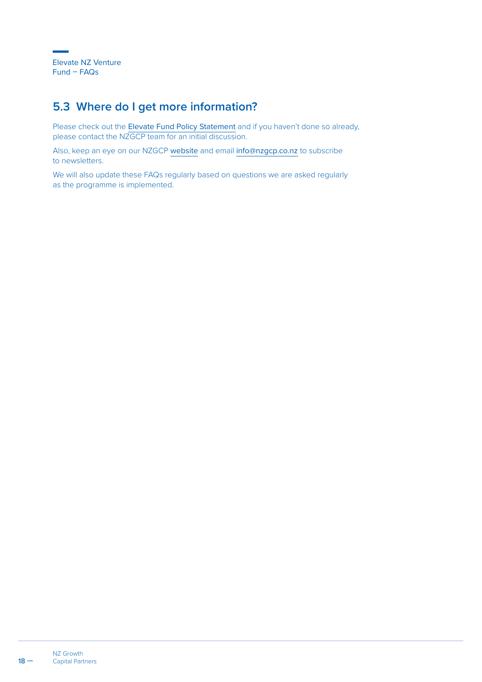## **5.3 Where do I get more information?**

Please check out the [Elevate Fund Policy Statement](https://www.nzgcp.co.nz/assets/Media/VCF-Policy-Statement.pdf) and if you haven't done so already, please contact the NZGCP team for an initial discussion.

Also, keep an eye on our NZGCP [website](https://www.nzgcp.co.nz/) and email [info@nzgcp.co.nz](mailto:info%40nzgcp.co.nz?subject=) to subscribe to newsletters.

We will also update these FAQs regularly based on questions we are asked regularly as the programme is implemented.